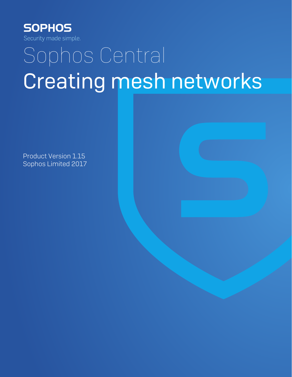

# Sophos Central Creating mesh networks

Product Version 1.15 Sophos Limited 2017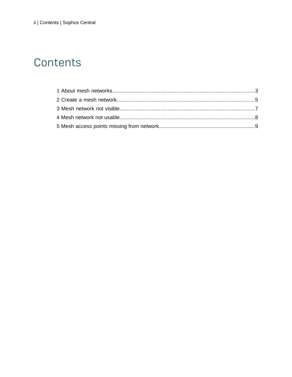### Contents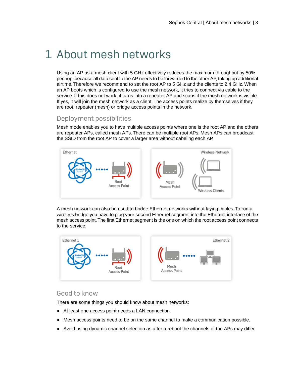### <span id="page-2-0"></span>1 About mesh networks

Using an AP as a mesh client with 5 GHz effectively reduces the maximum throughput by 50% per hop, because all data sent to the AP needs to be forwarded to the other AP, taking up additional airtime. Therefore we recommend to set the root AP to 5 GHz and the clients to 2.4 GHz. When an AP boots which is configured to use the mesh network, it tries to connect via cable to the service. If this does not work, it turns into a repeater AP and scans if the mesh network is visible. If yes, it will join the mesh network as a client. The access points realize by themselves if they are root, repeater (mesh) or bridge access points in the network.

### Deployment possibilities

Mesh mode enables you to have multiple access points where one is the root AP and the others are repeater APs, called mesh APs. There can be multiple root APs. Mesh APs can broadcast the SSID from the root AP to cover a larger area without cabeling each AP.



A mesh network can also be used to bridge Ethernet networks without laying cables. To run a wireless bridge you have to plug your second Ethernet segment into the Ethernet interface of the mesh access point.The first Ethernet segment is the one on which the root access point connects to the service.



#### Good to know

There are some things you should know about mesh networks:

- At least one access point needs a LAN connection.
- Mesh access points need to be on the same channel to make a communication possible.
- Avoid using dynamic channel selection as after a reboot the channels of the APs may differ.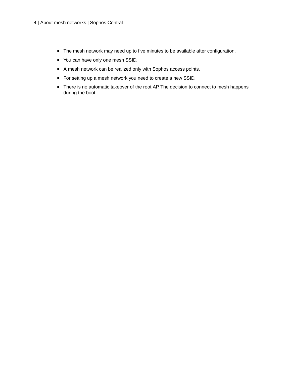- The mesh network may need up to five minutes to be available after configuration.
- You can have only one mesh SSID.
- A mesh network can be realized only with Sophos access points.
- For setting up a mesh network you need to create a new SSID.
- There is no automatic takeover of the root AP. The decision to connect to mesh happens during the boot.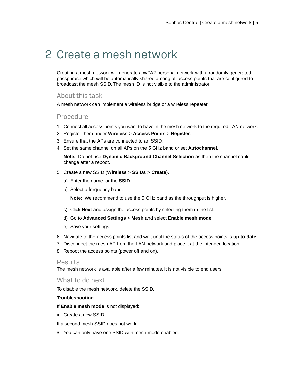### <span id="page-4-0"></span>2 Create a mesh network

Creating a mesh network will generate a WPA2-personal network with a randomly generated passphrase which will be automatically shared among all access points that are configured to broadcast the mesh SSID. The mesh ID is not visible to the administrator.

### About this task

A mesh network can implement a wireless bridge or a wireless repeater.

#### Procedure

- 1. Connect all access points you want to have in the mesh network to the required LAN network.
- 2. Register them under **Wireless** > **Access Points** > **Register**.
- 3. Ensure that the APs are connected to an SSID.
- 4. Set the same channel on all APs on the 5 GHz band or set **Autochannel**.

**Note:** Do not use **Dynamic Background Channel Selection** as then the channel could change after a reboot.

- 5. Create a new SSID (**Wireless** > **SSIDs** > **Create**).
	- a) Enter the name for the **SSID**.
	- b) Select a frequency band.

**Note:** We recommend to use the 5 GHz band as the throughput is higher.

- c) Click **Next** and assign the access points by selecting them in the list.
- d) Go to **Advanced Settings** > **Mesh** and select **Enable mesh mode**.
- e) Save your settings.
- 6. Navigate to the access points list and wait until the status of the access points is **up to date**.
- 7. Disconnect the mesh AP from the LAN network and place it at the intended location.
- 8. Reboot the access points (power off and on).

#### **Results**

The mesh network is available after a few minutes. It is not visible to end users.

#### What to do next

To disable the mesh network, delete the SSID.

#### **Troubleshooting**

If **Enable mesh mode** is not displayed:

■ Create a new SSID.

If a second mesh SSID does not work:

■ You can only have one SSID with mesh mode enabled.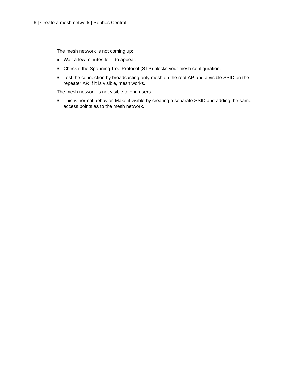The mesh network is not coming up:

- Wait a few minutes for it to appear.
- Check if the Spanning Tree Protocol (STP) blocks your mesh configuration.
- Test the connection by broadcasting only mesh on the root AP and a visible SSID on the repeater AP. If it is visible, mesh works.

The mesh network is not visible to end users:

■ This is normal behavior. Make it visible by creating a separate SSID and adding the same access points as to the mesh network.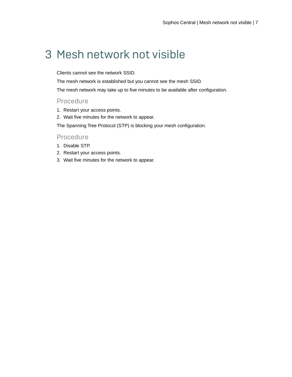## <span id="page-6-0"></span>3 Mesh network not visible

Clients cannot see the network SSID.

The mesh network is established but you cannot see the mesh SSID.

The mesh network may take up to five minutes to be available after configuration.

#### Procedure

- 1. Restart your access points.
- 2. Wait five minutes for the network to appear.

The Spanning Tree Protocol (STP) is blocking your mesh configuration.

### Procedure

- 1. Disable STP.
- 2. Restart your access points.
- 3. Wait five minutes for the network to appear.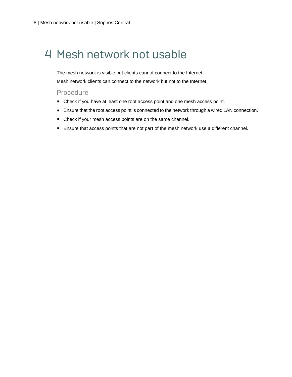## <span id="page-7-0"></span>4 Mesh network not usable

The mesh network is visible but clients cannot connect to the Internet. Mesh network clients can connect to the network but not to the Internet.

#### Procedure

- Check if you have at least one root access point and one mesh access point.
- Ensure that the root access point is connected to the network through a wired LAN connection.
- Check if your mesh access points are on the same channel.
- Ensure that access points that are not part of the mesh network use a different channel.